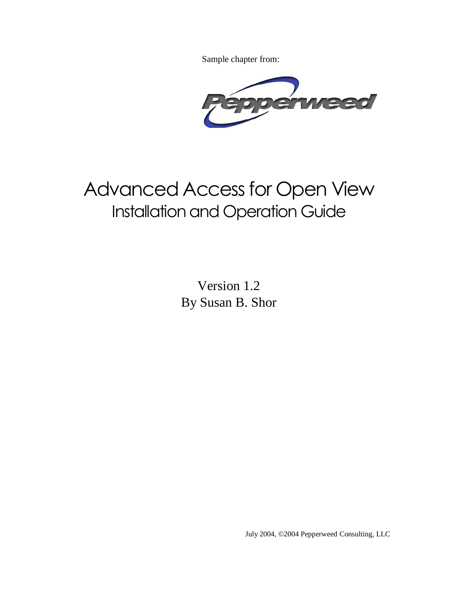Sample chapter from:



# Advanced Access for Open View Installation and Operation Guide

Version 1.2 By Susan B. Shor

July 2004, ©2004 Pepperweed Consulting, LLC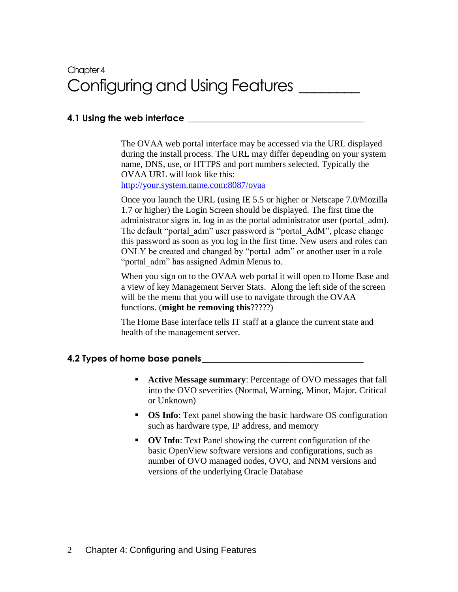# Chapter 4 Configuring and Using Features \_\_\_\_\_\_\_\_

# **4.1 Using the web interface \_\_\_\_\_\_\_\_\_\_\_\_\_\_\_\_\_\_\_\_\_\_\_\_\_\_\_\_\_\_\_\_\_\_\_\_\_\_\_**

The OVAA web portal interface may be accessed via the URL displayed during the install process. The URL may differ depending on your system name, DNS, use, or HTTPS and port numbers selected. Typically the OVAA URL will look like this:

<http://your.system.name.com:8087/ovaa>

Once you launch the URL (using IE 5.5 or higher or Netscape 7.0/Mozilla 1.7 or higher) the Login Screen should be displayed. The first time the administrator signs in, log in as the portal administrator user (portal\_adm). The default "portal\_adm" user password is "portal\_AdM", please change this password as soon as you log in the first time. New users and roles can ONLY be created and changed by "portal adm" or another user in a role "portal\_adm" has assigned Admin Menus to.

When you sign on to the OVAA web portal it will open to Home Base and a view of key Management Server Stats. Along the left side of the screen will be the menu that you will use to navigate through the OVAA functions. (**might be removing this**?????)

The Home Base interface tells IT staff at a glance the current state and health of the management server.

#### **4.2 Types of home base panels\_\_\_\_\_\_\_\_\_\_\_\_\_\_\_\_\_\_\_\_\_\_\_\_\_\_\_\_\_\_\_\_\_\_\_\_**

- **Active Message summary**: Percentage of OVO messages that fall into the OVO severities (Normal, Warning, Minor, Major, Critical or Unknown)
- **OS Info**: Text panel showing the basic hardware OS configuration such as hardware type, IP address, and memory
- **OV Info**: Text Panel showing the current configuration of the basic OpenView software versions and configurations, such as number of OVO managed nodes, OVO, and NNM versions and versions of the underlying Oracle Database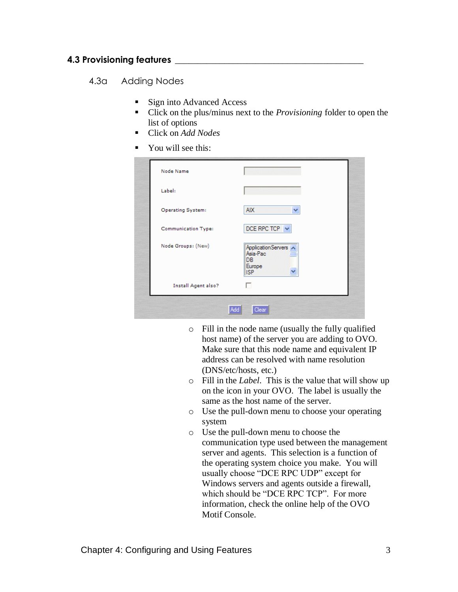# **4.3 Provisioning features \_\_\_\_\_\_\_\_\_\_\_\_\_\_\_\_\_\_\_\_\_\_\_\_\_\_\_\_\_\_\_\_\_\_\_\_\_\_\_\_\_\_**

#### 4.3a Adding Nodes

- Sign into Advanced Access
- Click on the plus/minus next to the *Provisioning* folder to open the list of options
- Click on *Add Nodes*
- You will see this:

| Node Name                  |                                                                       |
|----------------------------|-----------------------------------------------------------------------|
| Label:                     |                                                                       |
| <b>Operating System:</b>   | <b>AIX</b><br>v                                                       |
| <b>Communication Type:</b> | DCE RPC TCP $\vee$                                                    |
| Node Groups: (New)         | ApplicationServers A<br>Asia-Pac<br><b>DB</b><br>Europe<br><b>ISP</b> |
| <b>Install Agent also?</b> | п                                                                     |

- o Fill in the node name (usually the fully qualified host name) of the server you are adding to OVO. Make sure that this node name and equivalent IP address can be resolved with name resolution (DNS/etc/hosts, etc.)
- o Fill in the *Label*. This is the value that will show up on the icon in your OVO. The label is usually the same as the host name of the server.
- o Use the pull-down menu to choose your operating system
- o Use the pull-down menu to choose the communication type used between the management server and agents. This selection is a function of the operating system choice you make. You will usually choose "DCE RPC UDP" except for Windows servers and agents outside a firewall, which should be "DCE RPC TCP". For more information, check the online help of the OVO Motif Console.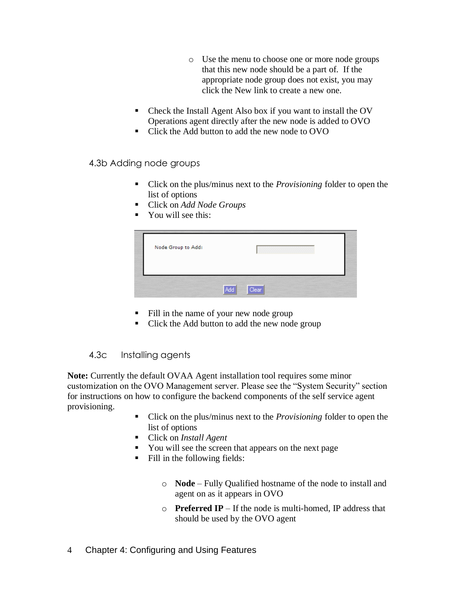- o Use the menu to choose one or more node groups that this new node should be a part of. If the appropriate node group does not exist, you may click the New link to create a new one.
- Check the Install Agent Also box if you want to install the OV Operations agent directly after the new node is added to OVO
- Click the Add button to add the new node to OVO

4.3b Adding node groups

- Click on the plus/minus next to the *Provisioning* folder to open the list of options
- Click on *Add Node Groups*
- You will see this:

| Node Group to Add: |       |  |
|--------------------|-------|--|
|                    |       |  |
| Add                | Clear |  |

- Fill in the name of your new node group
- Click the Add button to add the new node group

# 4.3c Installing agents

**Note:** Currently the default OVAA Agent installation tool requires some minor customization on the OVO Management server. Please see the "System Security" section for instructions on how to configure the backend components of the self service agent provisioning.

- Click on the plus/minus next to the *Provisioning* folder to open the list of options
- Click on *Install Agent*
- You will see the screen that appears on the next page
- Fill in the following fields:
	- o **Node** Fully Qualified hostname of the node to install and agent on as it appears in OVO
	- o **Preferred IP** If the node is multi-homed, IP address that should be used by the OVO agent
- 4 Chapter 4: Configuring and Using Features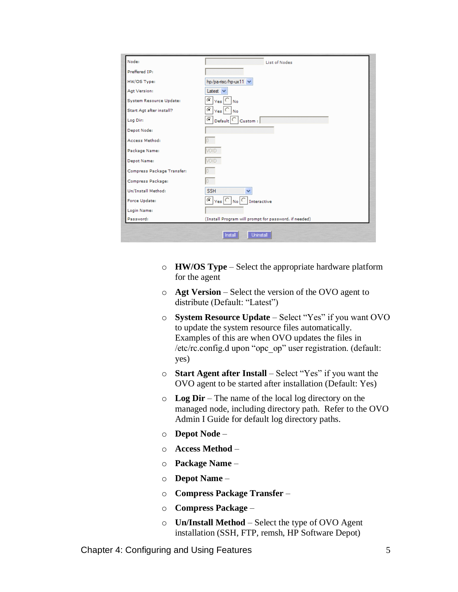| Node:                      | <b>List of Nodes</b>                                                                       |  |
|----------------------------|--------------------------------------------------------------------------------------------|--|
| Preffered IP:              |                                                                                            |  |
| HW/OS Type:                | hp/pa-risc/hp-ux11 v                                                                       |  |
| Agt Version:               | Latest $\vee$                                                                              |  |
| System Resource Update:    | c<br>$ Ves $ $ V_0 $                                                                       |  |
| Start Agt after install?   | O<br>$Yes$ $\bigcirc$ $No$                                                                 |  |
| Log Dir:                   | $Default$ $\bigcap$ Custom :<br>Θ                                                          |  |
| Depot Node:                |                                                                                            |  |
| Access Method:             |                                                                                            |  |
| Package Name:              | <b>VOID</b>                                                                                |  |
| Depot Name:                | <b>VOID</b>                                                                                |  |
| Compress Package Transfer: |                                                                                            |  |
| Compress Package:          |                                                                                            |  |
| Un/Install Method:         | <b>SSH</b>                                                                                 |  |
| Force Update:              | $\bigcirc$ $ _{\text{Yes}}$ $\bigcirc$ $ _{\text{No}}$ $\bigcirc$ $ _{\text{Interactive}}$ |  |
| Login Name:                |                                                                                            |  |
| Password:                  | (Install Program will prompt for password, if needed)                                      |  |

- o **HW/OS Type** Select the appropriate hardware platform for the agent
- o **Agt Version** Select the version of the OVO agent to distribute (Default: "Latest")
- o **System Resource Update** Select "Yes" if you want OVO to update the system resource files automatically. Examples of this are when OVO updates the files in /etc/rc.config.d upon "opc\_op" user registration. (default: yes)
- o **Start Agent after Install** Select "Yes" if you want the OVO agent to be started after installation (Default: Yes)
- o **Log Dir** The name of the local log directory on the managed node, including directory path. Refer to the OVO Admin I Guide for default log directory paths.
- o **Depot Node** –
- o **Access Method** –
- o **Package Name** –
- o **Depot Name** –
- o **Compress Package Transfer** –
- o **Compress Package** –
- o **Un/Install Method** Select the type of OVO Agent installation (SSH, FTP, remsh, HP Software Depot)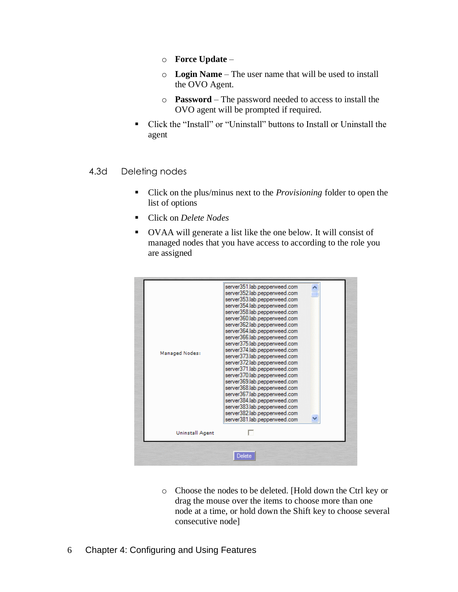- o **Force Update** –
- o **Login Name** The user name that will be used to install the OVO Agent.
- o **Password** The password needed to access to install the OVO agent will be prompted if required.
- Click the "Install" or "Uninstall" buttons to Install or Uninstall the agent

#### 4.3d Deleting nodes

- Click on the plus/minus next to the *Provisioning* folder to open the list of options
- Click on *Delete Nodes*
- OVAA will generate a list like the one below. It will consist of managed nodes that you have access to according to the role you are assigned

| Managed Nodes:  | server351.lab.pepperweed.com<br>server352.lab.pepperweed.com<br>server353.lab.pepperweed.com<br>server354.lab.pepperweed.com<br>server358.lab.pepperweed.com<br>server360.lab.pepperweed.com<br>server362.lab.pepperweed.com<br>server364.lab.pepperweed.com<br>server366.lab.pepperweed.com<br>server375.lab.pepperweed.com<br>server374.lab.pepperweed.com<br>server373.lab.pepperweed.com<br>server372.lab.pepperweed.com<br>server371.lab.pepperweed.com<br>server370.lab.pepperweed.com<br>server369.lab.pepperweed.com<br>server368.lab.pepperweed.com<br>server367.lab.pepperweed.com |  |
|-----------------|----------------------------------------------------------------------------------------------------------------------------------------------------------------------------------------------------------------------------------------------------------------------------------------------------------------------------------------------------------------------------------------------------------------------------------------------------------------------------------------------------------------------------------------------------------------------------------------------|--|
|                 | server384.lab.pepperweed.com<br>server383.lab.pepperweed.com<br>server382.lab.pepperweed.com<br>server381.lab.pepperweed.com                                                                                                                                                                                                                                                                                                                                                                                                                                                                 |  |
| Uninstall Agent |                                                                                                                                                                                                                                                                                                                                                                                                                                                                                                                                                                                              |  |

o Choose the nodes to be deleted. [Hold down the Ctrl key or drag the mouse over the items to choose more than one node at a time, or hold down the Shift key to choose several consecutive node]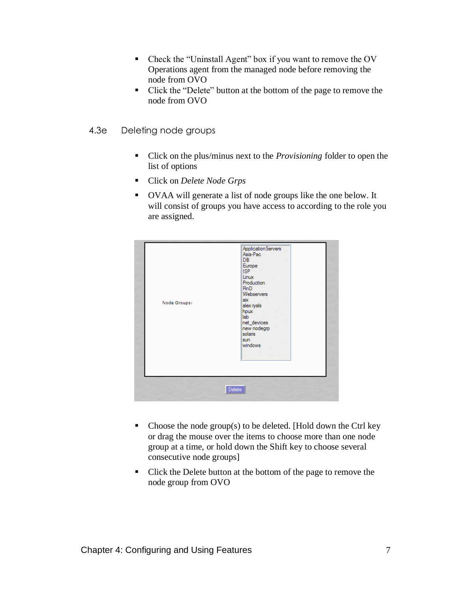- Check the "Uninstall Agent" box if you want to remove the OV Operations agent from the managed node before removing the node from OVO
- Click the "Delete" button at the bottom of the page to remove the node from OVO
- 4.3e Deleting node groups
	- Click on the plus/minus next to the *Provisioning* folder to open the list of options
	- Click on *Delete Node Grps*
	- OVAA will generate a list of node groups like the one below. It will consist of groups you have access to according to the role you are assigned.



- $\blacksquare$  Choose the node group(s) to be deleted. [Hold down the Ctrl key or drag the mouse over the items to choose more than one node group at a time, or hold down the Shift key to choose several consecutive node groups]
- Click the Delete button at the bottom of the page to remove the node group from OVO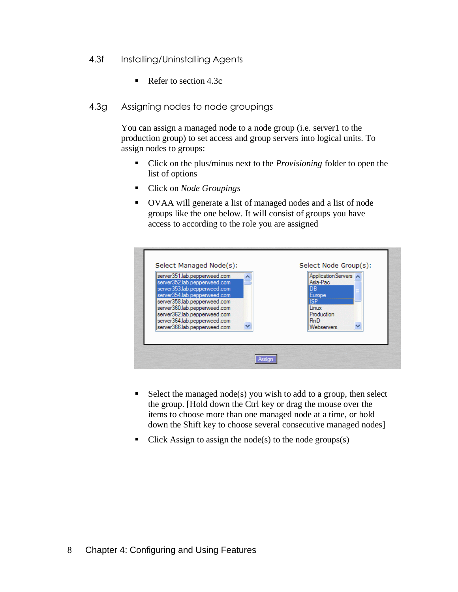- 4.3f Installing/Uninstalling Agents
	- Refer to section 4.3c
- 4.3g Assigning nodes to node groupings

You can assign a managed node to a node group (i.e. server1 to the production group) to set access and group servers into logical units. To assign nodes to groups:

- Click on the plus/minus next to the *Provisioning* folder to open the list of options
- Click on *Node Groupings*
- OVAA will generate a list of managed nodes and a list of node groups like the one below. It will consist of groups you have access to according to the role you are assigned

| server351.lab.pepperweed.com<br>server352.lab.pepperweed.com | Application Servers<br>Asia-Pac |  |
|--------------------------------------------------------------|---------------------------------|--|
| server353.lab.pepperweed.com<br>server354.lab.pepperweed.com | IDB.<br>Europe                  |  |
| server358.lab.pepperweed.com<br>server360.lab.pepperweed.com | <b>ISP</b><br>Linux             |  |
| server362.lab.pepperweed.com                                 | Production                      |  |
| server364.lab.pepperweed.com<br>server366.lab.pepperweed.com | <b>RnD</b><br>Webservers        |  |

- $\blacksquare$  Select the managed node(s) you wish to add to a group, then select the group. [Hold down the Ctrl key or drag the mouse over the items to choose more than one managed node at a time, or hold down the Shift key to choose several consecutive managed nodes]
- Click Assign to assign the node(s) to the node groups(s)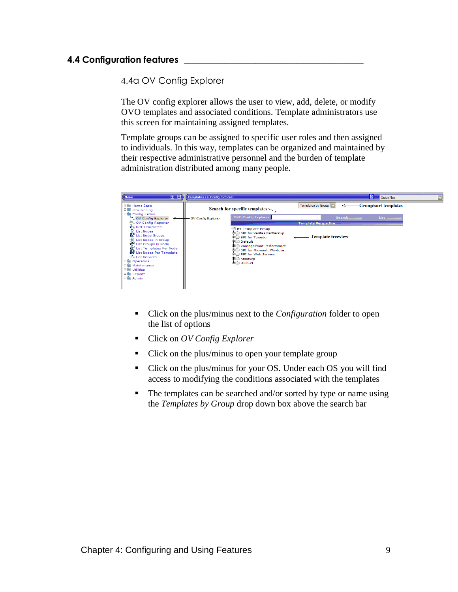# **4.4 Configuration features \_\_\_\_\_\_\_\_\_\_\_\_\_\_\_\_\_\_\_\_\_\_\_\_\_\_\_\_\_\_\_\_\_\_\_\_\_\_\_\_**

4.4a OV Config Explorer

The OV config explorer allows the user to view, add, delete, or modify OVO templates and associated conditions. Template administrators use this screen for maintaining assigned templates.

Template groups can be assigned to specific user roles and then assigned to individuals. In this way, templates can be organized and maintained by their respective administrative personnel and the burden of template administration distributed among many people.



- Click on the plus/minus next to the *Configuration* folder to open the list of options
- Click on *OV Config Explorer*
- Click on the plus/minus to open your template group
- Click on the plus/minus for your OS. Under each OS you will find access to modifying the conditions associated with the templates
- The templates can be searched and/or sorted by type or name using the *Templates by Group* drop down box above the search bar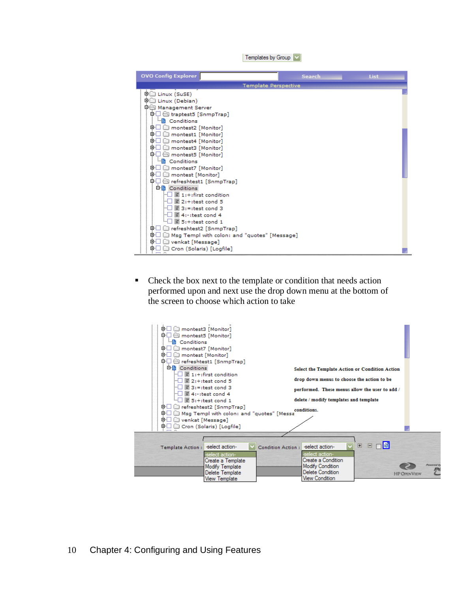Templates by Group

| <b>OVO Config Explorer</b>                                            | <b>Search</b> | List |
|-----------------------------------------------------------------------|---------------|------|
| <b>Template Perspective</b>                                           |               |      |
| 申□ Linux (SuSE)                                                       |               |      |
| 申□ Linux (Debian)                                                     |               |      |
| <b>D</b> Management Server                                            |               |      |
| <b>中口 <del>⑤</del></b> traptest5 [SnmpTrap]                           |               |      |
| ····图 Conditions                                                      |               |      |
| 中口 imontest2 [Monitor]                                                |               |      |
| o I<br>montest1 [Monitor]                                             |               |      |
| ⊕⊡<br>montest4 [Monitor]                                              |               |      |
| ⊕⊔<br>montest3 [Monitor]                                              |               |      |
| 中니 న montest5 [Monitor]                                               |               |      |
| ····图 Conditions                                                      |               |      |
| o⊦⊔<br>_ montest7 [Monitor]<br>由日<br>montest [Monitor]                |               |      |
| 中口 <del>⑤</del> refreshtest1 [SnmpTrap]                               |               |      |
| 白雪 Conditions                                                         |               |      |
| $\left\  \cdot \right\ $ $\left\  \cdot \right\ $ 1:+:first condition |               |      |
| $\boxed{2}$ 2:+:test cond 5<br>:--1 1                                 |               |      |
| $\boxed{2}$ 3:=:test cond 3                                           |               |      |
| $\Box$ $\Box$ 4:-:test cond 4                                         |               |      |
| $\Xi$ 5:+:test cond 1                                                 |               |      |
| 中□ □ refreshtest2 [SnmpTrap]                                          |               |      |
| ΦL<br>Msg Templ with colon: and "guotes" [Message]                    |               |      |
| venkat [Message]<br>œH                                                |               |      |
| Cron (Solaris) [Logfile]<br>œ۰                                        |               |      |

■ Check the box next to the template or condition that needs action performed upon and next use the drop down menu at the bottom of the screen to choose which action to take

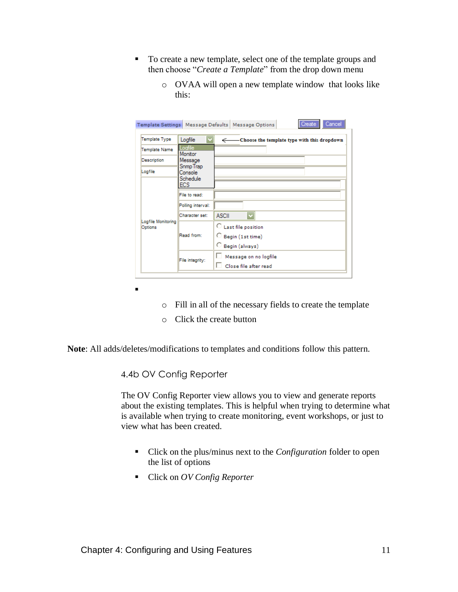- To create a new template, select one of the template groups and then choose "*Create a Template*" from the drop down menu
	- o OVAA will open a new template window that looks like this:

|                                                               |                                         | Cancel<br>Create<br>Template Settings   Message Defaults   Message Options |
|---------------------------------------------------------------|-----------------------------------------|----------------------------------------------------------------------------|
| Template Type                                                 | Logfile                                 | ← Choose the template type with this dropdown                              |
| Template Name                                                 | Logfile<br>Monitor                      |                                                                            |
| Description                                                   | Message                                 |                                                                            |
| Logfile                                                       | Snmp Trap<br>Console                    |                                                                            |
|                                                               | Schedule<br>ECS                         |                                                                            |
| File to read:                                                 |                                         |                                                                            |
|                                                               | Polling interval:                       |                                                                            |
| Character set:<br>Logfile Monitoring<br>Options<br>Read from: | $\overline{\mathbf{v}}$<br><b>ASCII</b> |                                                                            |
|                                                               |                                         | C Last file position                                                       |
|                                                               |                                         | Begin (1st time)                                                           |
|                                                               |                                         | C Begin (always)                                                           |
|                                                               | File integrity:                         | Message on no logfile                                                      |
|                                                               |                                         | Close file after read                                                      |

- o Fill in all of the necessary fields to create the template
- o Click the create button

**Note**: All adds/deletes/modifications to templates and conditions follow this pattern.

4.4b OV Config Reporter

▪

The OV Config Reporter view allows you to view and generate reports about the existing templates. This is helpful when trying to determine what is available when trying to create monitoring, event workshops, or just to view what has been created.

- Click on the plus/minus next to the *Configuration* folder to open the list of options
- Click on *OV Config Reporter*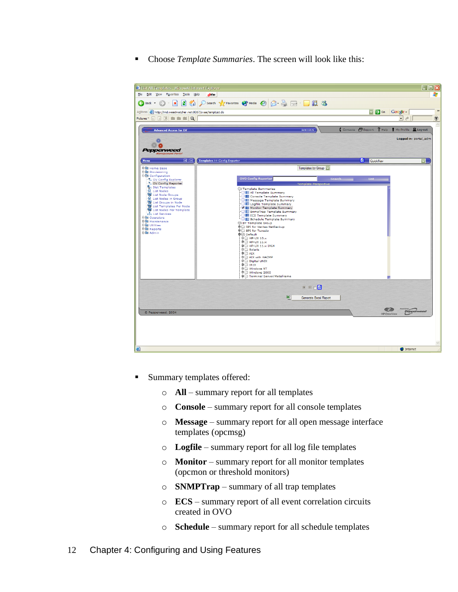■ Choose *Template Summaries*. The screen will look like this:



- Summary templates offered:
	- o **All** summary report for all templates
	- o **Console** summary report for all console templates
	- o **Message** summary report for all open message interface templates (opcmsg)
	- o **Logfile** summary report for all log file templates
	- o **Monitor** summary report for all monitor templates (opcmon or threshold monitors)
	- o **SNMPTrap** summary of all trap templates
	- o **ECS** summary report of all event correlation circuits created in OVO
	- o **Schedule**  summary report for all schedule templates
- 12 Chapter 4: Configuring and Using Features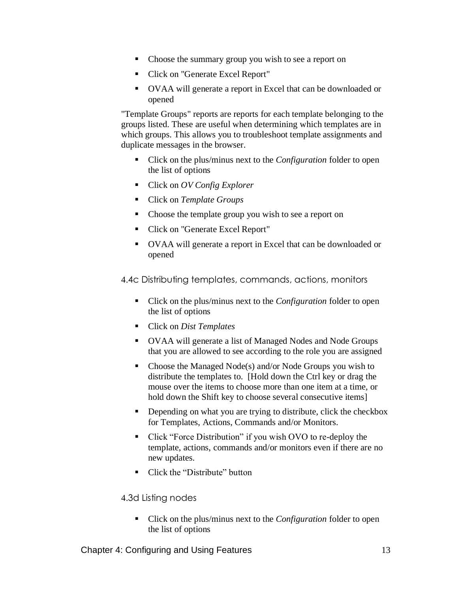- Choose the summary group you wish to see a report on
- Click on "Generate Excel Report"
- OVAA will generate a report in Excel that can be downloaded or opened

"Template Groups" reports are reports for each template belonging to the groups listed. These are useful when determining which templates are in which groups. This allows you to troubleshoot template assignments and duplicate messages in the browser.

- Click on the plus/minus next to the *Configuration* folder to open the list of options
- Click on *OV Config Explorer*
- Click on *Template Groups*
- Choose the template group you wish to see a report on
- Click on "Generate Excel Report"
- OVAA will generate a report in Excel that can be downloaded or opened

4.4c Distributing templates, commands, actions, monitors

- Click on the plus/minus next to the *Configuration* folder to open the list of options
- Click on *Dist Templates*
- OVAA will generate a list of Managed Nodes and Node Groups that you are allowed to see according to the role you are assigned
- Choose the Managed Node(s) and/or Node Groups you wish to distribute the templates to. [Hold down the Ctrl key or drag the mouse over the items to choose more than one item at a time, or hold down the Shift key to choose several consecutive items]
- **•** Depending on what you are trying to distribute, click the checkbox for Templates, Actions, Commands and/or Monitors.
- Click "Force Distribution" if you wish OVO to re-deploy the template, actions, commands and/or monitors even if there are no new updates.
- Click the "Distribute" button

4.3d Listing nodes

■ Click on the plus/minus next to the *Configuration* folder to open the list of options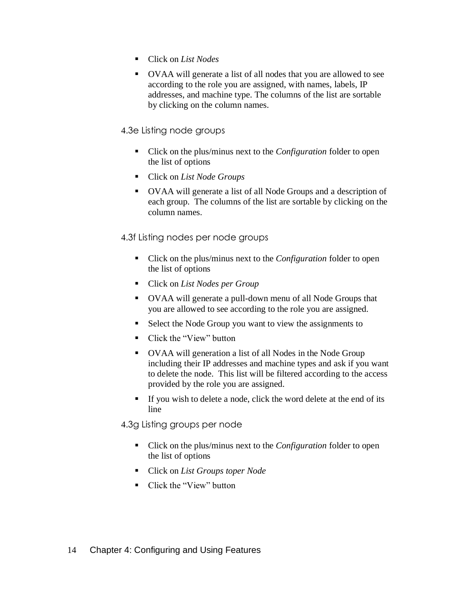- Click on *List Nodes*
- OVAA will generate a list of all nodes that you are allowed to see according to the role you are assigned, with names, labels, IP addresses, and machine type. The columns of the list are sortable by clicking on the column names.

# 4.3e Listing node groups

- Click on the plus/minus next to the *Configuration* folder to open the list of options
- Click on *List Node Groups*
- OVAA will generate a list of all Node Groups and a description of each group. The columns of the list are sortable by clicking on the column names.

# 4.3f Listing nodes per node groups

- Click on the plus/minus next to the *Configuration* folder to open the list of options
- Click on *List Nodes per Group*
- OVAA will generate a pull-down menu of all Node Groups that you are allowed to see according to the role you are assigned.
- Select the Node Group you want to view the assignments to
- Click the "View" button
- OVAA will generation a list of all Nodes in the Node Group including their IP addresses and machine types and ask if you want to delete the node. This list will be filtered according to the access provided by the role you are assigned.
- If you wish to delete a node, click the word delete at the end of its line

4.3g Listing groups per node

- Click on the plus/minus next to the *Configuration* folder to open the list of options
- Click on *List Groups toper Node*
- Click the "View" button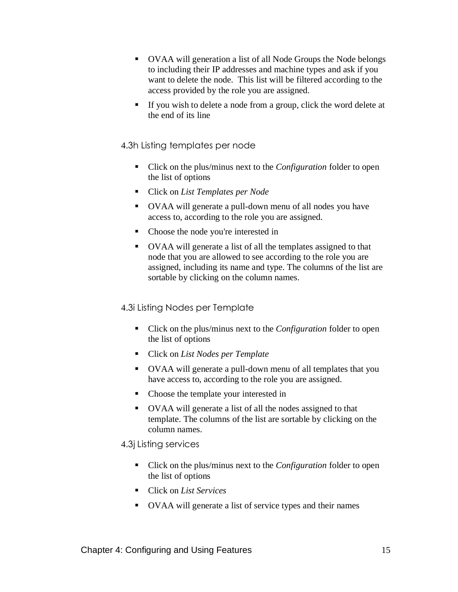- OVAA will generation a list of all Node Groups the Node belongs to including their IP addresses and machine types and ask if you want to delete the node. This list will be filtered according to the access provided by the role you are assigned.
- If you wish to delete a node from a group, click the word delete at the end of its line

#### 4.3h Listing templates per node

- Click on the plus/minus next to the *Configuration* folder to open the list of options
- Click on *List Templates per Node*
- OVAA will generate a pull-down menu of all nodes you have access to, according to the role you are assigned.
- Choose the node you're interested in
- OVAA will generate a list of all the templates assigned to that node that you are allowed to see according to the role you are assigned, including its name and type. The columns of the list are sortable by clicking on the column names.

#### 4.3i Listing Nodes per Template

- Click on the plus/minus next to the *Configuration* folder to open the list of options
- Click on *List Nodes per Template*
- OVAA will generate a pull-down menu of all templates that you have access to, according to the role you are assigned.
- Choose the template your interested in
- OVAA will generate a list of all the nodes assigned to that template. The columns of the list are sortable by clicking on the column names.

#### 4.3j Listing services

- Click on the plus/minus next to the *Configuration* folder to open the list of options
- Click on *List Services*
- OVAA will generate a list of service types and their names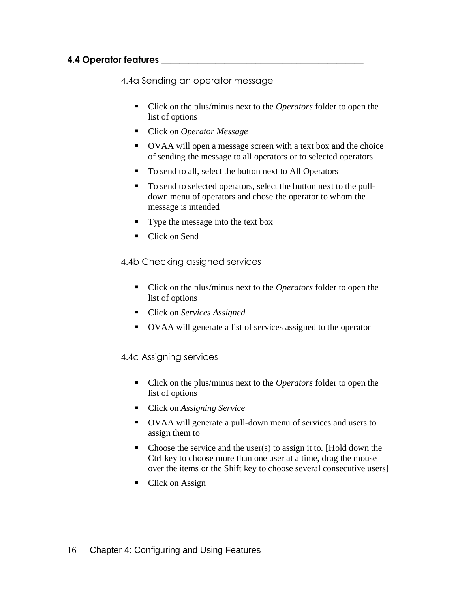# **4.4 Operator features \_\_\_\_\_\_\_\_\_\_\_\_\_\_\_\_\_\_\_\_\_\_\_\_\_\_\_\_\_\_\_\_\_\_\_\_\_\_\_\_\_\_\_\_\_**

4.4a Sending an operator message

- Click on the plus/minus next to the *Operators* folder to open the list of options
- Click on *Operator Message*
- OVAA will open a message screen with a text box and the choice of sending the message to all operators or to selected operators
- To send to all, select the button next to All Operators
- To send to selected operators, select the button next to the pulldown menu of operators and chose the operator to whom the message is intended
- **•** Type the message into the text box
- Click on Send

4.4b Checking assigned services

- Click on the plus/minus next to the *Operators* folder to open the list of options
- Click on *Services Assigned*
- OVAA will generate a list of services assigned to the operator

4.4c Assigning services

- Click on the plus/minus next to the *Operators* folder to open the list of options
- Click on *Assigning Service*
- OVAA will generate a pull-down menu of services and users to assign them to
- $\blacksquare$  Choose the service and the user(s) to assign it to. [Hold down the Ctrl key to choose more than one user at a time, drag the mouse over the items or the Shift key to choose several consecutive users]
- Click on Assign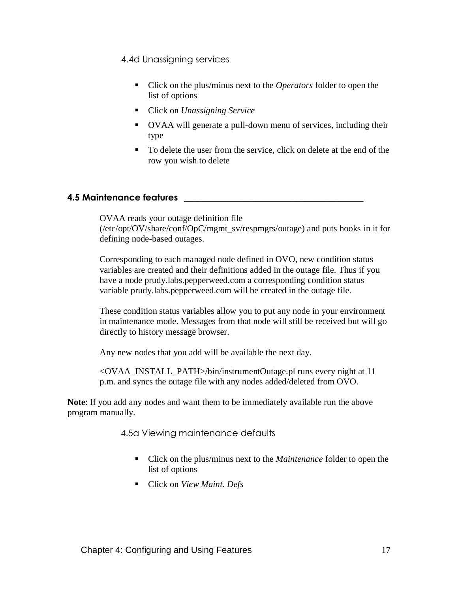4.4d Unassigning services

- Click on the plus/minus next to the *Operators* folder to open the list of options
- Click on *Unassigning Service*
- OVAA will generate a pull-down menu of services, including their type
- To delete the user from the service, click on delete at the end of the row you wish to delete

# **4.5 Maintenance features \_\_\_\_\_\_\_\_\_\_\_\_\_\_\_\_\_\_\_\_\_\_\_\_\_\_\_\_\_\_\_\_\_\_\_\_\_\_\_\_**

OVAA reads your outage definition file (/etc/opt/OV/share/conf/OpC/mgmt\_sv/respmgrs/outage) and puts hooks in it for defining node-based outages.

Corresponding to each managed node defined in OVO, new condition status variables are created and their definitions added in the outage file. Thus if you have a node prudy.labs.pepperweed.com a corresponding condition status variable prudy.labs.pepperweed.com will be created in the outage file.

These condition status variables allow you to put any node in your environment in maintenance mode. Messages from that node will still be received but will go directly to history message browser.

Any new nodes that you add will be available the next day.

<OVAA\_INSTALL\_PATH>/bin/instrumentOutage.pl runs every night at 11 p.m. and syncs the outage file with any nodes added/deleted from OVO.

**Note**: If you add any nodes and want them to be immediately available run the above program manually.

4.5a Viewing maintenance defaults

- Click on the plus/minus next to the *Maintenance* folder to open the list of options
- Click on *View Maint. Defs*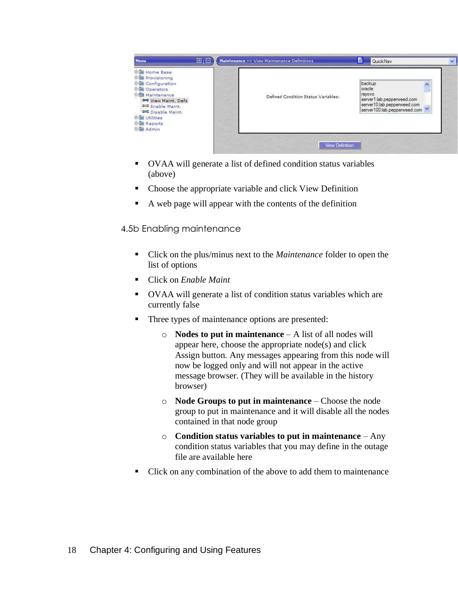

- OVAA will generate a list of defined condition status variables (above)
- Choose the appropriate variable and click View Definition
- A web page will appear with the contents of the definition

4.5b Enabling maintenance

- Click on the plus/minus next to the *Maintenance* folder to open the list of options
- Click on *Enable Maint*
- OVAA will generate a list of condition status variables which are currently false
- Three types of maintenance options are presented:
	- o **Nodes to put in maintenance**  A list of all nodes will appear here, choose the appropriate node(s) and click Assign button. Any messages appearing from this node will now be logged only and will not appear in the active message browser. (They will be available in the history browser)
	- o **Node Groups to put in maintenance**  Choose the node group to put in maintenance and it will disable all the nodes contained in that node group
	- o **Condition status variables to put in maintenance**  Any condition status variables that you may define in the outage file are available here
- Click on any combination of the above to add them to maintenance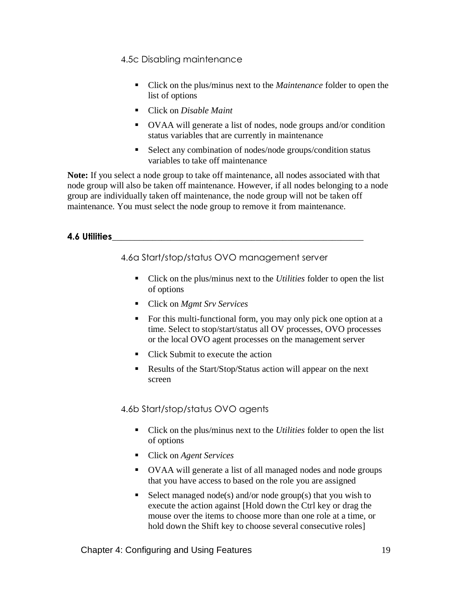4.5c Disabling maintenance

- Click on the plus/minus next to the *Maintenance* folder to open the list of options
- Click on *Disable Maint*
- OVAA will generate a list of nodes, node groups and/or condition status variables that are currently in maintenance
- Select any combination of nodes/node groups/condition status variables to take off maintenance

**Note:** If you select a node group to take off maintenance, all nodes associated with that node group will also be taken off maintenance. However, if all nodes belonging to a node group are individually taken off maintenance, the node group will not be taken off maintenance. You must select the node group to remove it from maintenance.

# **4.6 Utilities\_\_\_\_\_\_\_\_\_\_\_\_\_\_\_\_\_\_\_\_\_\_\_\_\_\_\_\_\_\_\_\_\_\_\_\_\_\_\_\_\_\_\_\_\_\_\_\_\_\_\_\_\_\_\_\_**

4.6a Start/stop/status OVO management server

- Click on the plus/minus next to the *Utilities* folder to open the list of options
- Click on *Mgmt Srv Services*
- For this multi-functional form, you may only pick one option at a time. Select to stop/start/status all OV processes, OVO processes or the local OVO agent processes on the management server
- Click Submit to execute the action
- Results of the Start/Stop/Status action will appear on the next screen

#### 4.6b Start/stop/status OVO agents

- Click on the plus/minus next to the *Utilities* folder to open the list of options
- Click on *Agent Services*
- OVAA will generate a list of all managed nodes and node groups that you have access to based on the role you are assigned
- $\blacksquare$  Select managed node(s) and/or node group(s) that you wish to execute the action against [Hold down the Ctrl key or drag the mouse over the items to choose more than one role at a time, or hold down the Shift key to choose several consecutive roles]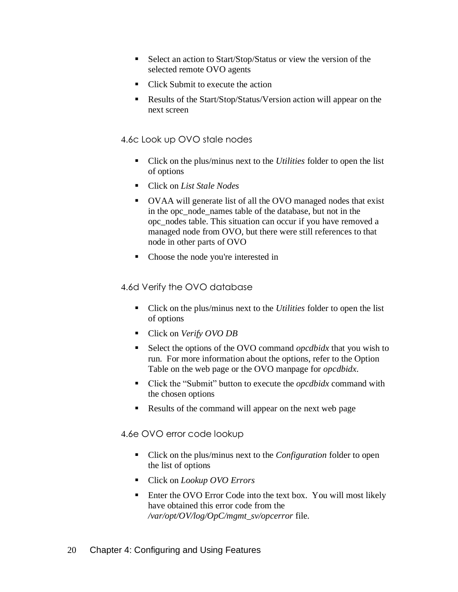- Select an action to Start/Stop/Status or view the version of the selected remote OVO agents
- Click Submit to execute the action
- Results of the Start/Stop/Status/Version action will appear on the next screen

# 4.6c Look up OVO stale nodes

- Click on the plus/minus next to the *Utilities* folder to open the list of options
- Click on *List Stale Nodes*
- OVAA will generate list of all the OVO managed nodes that exist in the opc\_node\_names table of the database, but not in the opc\_nodes table. This situation can occur if you have removed a managed node from OVO, but there were still references to that node in other parts of OVO
- Choose the node you're interested in

# 4.6d Verify the OVO database

- Click on the plus/minus next to the *Utilities* folder to open the list of options
- Click on *Verify OVO DB*
- Select the options of the OVO command *opcdbidx* that you wish to run. For more information about the options, refer to the Option Table on the web page or the OVO manpage for *opcdbidx*.
- Click the "Submit" button to execute the *opcdbidx* command with the chosen options
- Results of the command will appear on the next web page

#### 4.6e OVO error code lookup

- Click on the plus/minus next to the *Configuration* folder to open the list of options
- Click on *Lookup OVO Errors*
- **Enter the OVO Error Code into the text box. You will most likely** have obtained this error code from the */var/opt/OV/log/OpC/mgmt\_sv/opcerror* file.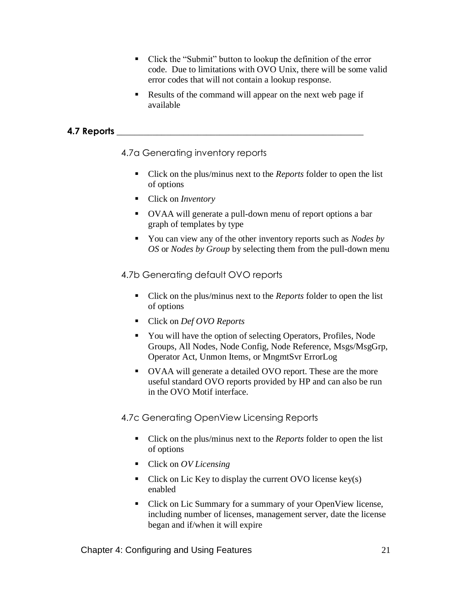- Click the "Submit" button to lookup the definition of the error code. Due to limitations with OVO Unix, there will be some valid error codes that will not contain a lookup response.
- Results of the command will appear on the next web page if available

# **4.7 Reports \_\_\_\_\_\_\_\_\_\_\_\_\_\_\_\_\_\_\_\_\_\_\_\_\_\_\_\_\_\_\_\_\_\_\_\_\_\_\_\_\_\_\_\_\_\_\_\_\_\_\_\_\_\_\_**

4.7a Generating inventory reports

- Click on the plus/minus next to the *Reports* folder to open the list of options
- Click on *Inventory*
- OVAA will generate a pull-down menu of report options a bar graph of templates by type
- You can view any of the other inventory reports such as *Nodes by OS* or *Nodes by Group* by selecting them from the pull-down menu

# 4.7b Generating default OVO reports

- Click on the plus/minus next to the *Reports* folder to open the list of options
- Click on *Def OVO Reports*
- You will have the option of selecting Operators, Profiles, Node Groups, All Nodes, Node Config, Node Reference, Msgs/MsgGrp, Operator Act, Unmon Items, or MngmtSvr ErrorLog
- OVAA will generate a detailed OVO report. These are the more useful standard OVO reports provided by HP and can also be run in the OVO Motif interface.

# 4.7c Generating OpenView Licensing Reports

- Click on the plus/minus next to the *Reports* folder to open the list of options
- Click on *OV Licensing*
- $\blacksquare$  Click on Lic Key to display the current OVO license key(s) enabled
- Click on Lic Summary for a summary of your OpenView license, including number of licenses, management server, date the license began and if/when it will expire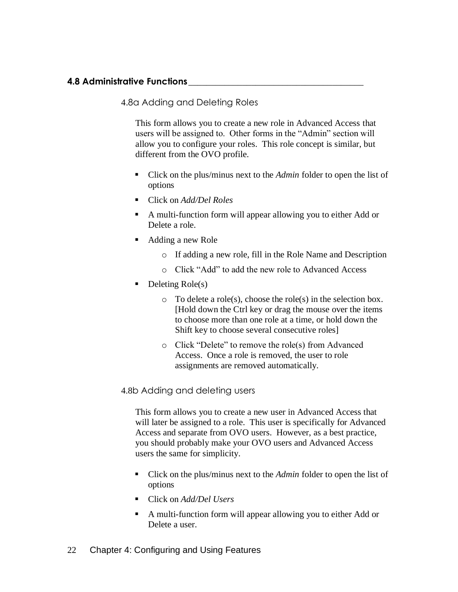# **4.8 Administrative Functions\_\_\_\_\_\_\_\_\_\_\_\_\_\_\_\_\_\_\_\_\_\_\_\_\_\_\_\_\_\_\_\_\_\_\_\_\_\_\_**

4.8a Adding and Deleting Roles

This form allows you to create a new role in Advanced Access that users will be assigned to. Other forms in the "Admin" section will allow you to configure your roles. This role concept is similar, but different from the OVO profile.

- Click on the plus/minus next to the *Admin* folder to open the list of options
- Click on *Add/Del Roles*
- A multi-function form will appear allowing you to either Add or Delete a role.
- Adding a new Role
	- o If adding a new role, fill in the Role Name and Description
	- o Click "Add" to add the new role to Advanced Access
- $\blacksquare$  Deleting Role(s)
	- o To delete a role(s), choose the role(s) in the selection box. [Hold down the Ctrl key or drag the mouse over the items to choose more than one role at a time, or hold down the Shift key to choose several consecutive roles]
	- o Click "Delete" to remove the role(s) from Advanced Access. Once a role is removed, the user to role assignments are removed automatically.

#### 4.8b Adding and deleting users

This form allows you to create a new user in Advanced Access that will later be assigned to a role. This user is specifically for Advanced Access and separate from OVO users. However, as a best practice, you should probably make your OVO users and Advanced Access users the same for simplicity.

- Click on the plus/minus next to the *Admin* folder to open the list of options
- Click on *Add/Del Users*
- A multi-function form will appear allowing you to either Add or Delete a user.
- 22 Chapter 4: Configuring and Using Features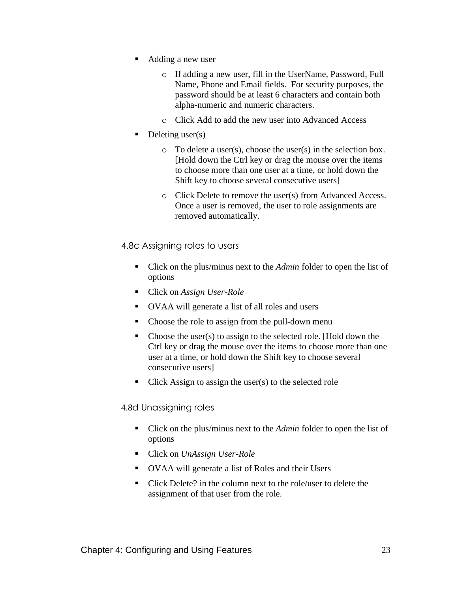- Adding a new user
	- o If adding a new user, fill in the UserName, Password, Full Name, Phone and Email fields. For security purposes, the password should be at least 6 characters and contain both alpha-numeric and numeric characters.
	- o Click Add to add the new user into Advanced Access
- Deleting user(s)
	- o To delete a user(s), choose the user(s) in the selection box. [Hold down the Ctrl key or drag the mouse over the items to choose more than one user at a time, or hold down the Shift key to choose several consecutive users]
	- o Click Delete to remove the user(s) from Advanced Access. Once a user is removed, the user to role assignments are removed automatically.
- 4.8c Assigning roles to users
	- Click on the plus/minus next to the *Admin* folder to open the list of options
	- Click on *Assign User-Role*
	- OVAA will generate a list of all roles and users
	- Choose the role to assign from the pull-down menu
	- Choose the user(s) to assign to the selected role. [Hold down the Ctrl key or drag the mouse over the items to choose more than one user at a time, or hold down the Shift key to choose several consecutive users]
	- $\blacksquare$  Click Assign to assign the user(s) to the selected role

4.8d Unassigning roles

- Click on the plus/minus next to the *Admin* folder to open the list of options
- Click on *UnAssign User-Role*
- OVAA will generate a list of Roles and their Users
- Click Delete? in the column next to the role/user to delete the assignment of that user from the role.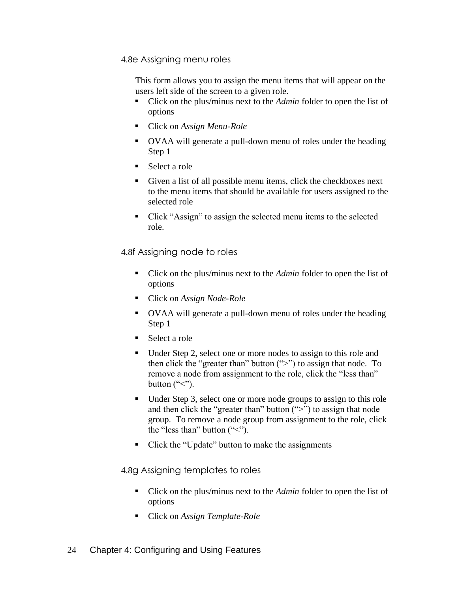4.8e Assigning menu roles

This form allows you to assign the menu items that will appear on the users left side of the screen to a given role.

- Click on the plus/minus next to the *Admin* folder to open the list of options
- Click on *Assign Menu-Role*
- OVAA will generate a pull-down menu of roles under the heading Step 1
- Select a role
- Given a list of all possible menu items, click the checkboxes next to the menu items that should be available for users assigned to the selected role
- Click "Assign" to assign the selected menu items to the selected role.

4.8f Assigning node to roles

- Click on the plus/minus next to the *Admin* folder to open the list of options
- Click on *Assign Node-Role*
- OVAA will generate a pull-down menu of roles under the heading Step 1
- Select a role
- Under Step 2, select one or more nodes to assign to this role and then click the "greater than" button (">") to assign that node. To remove a node from assignment to the role, click the "less than" button  $("<")$ .
- Under Step 3, select one or more node groups to assign to this role and then click the "greater than" button  $(">")$  to assign that node group. To remove a node group from assignment to the role, click the "less than" button  $(*<")$ .
- Click the "Update" button to make the assignments

4.8g Assigning templates to roles

- Click on the plus/minus next to the *Admin* folder to open the list of options
- Click on *Assign Template-Role*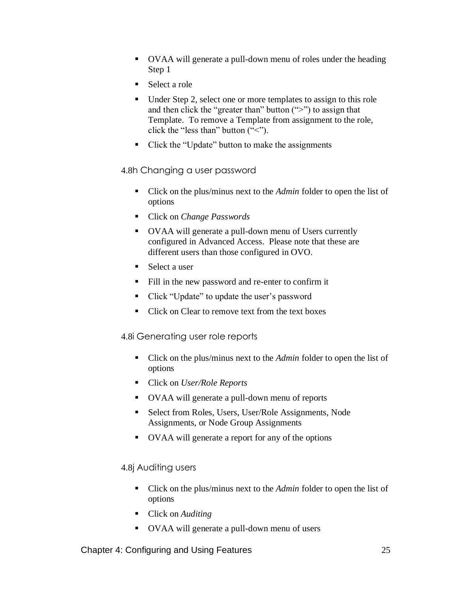- OVAA will generate a pull-down menu of roles under the heading Step 1
- Select a role
- Under Step 2, select one or more templates to assign to this role and then click the "greater than" button (">") to assign that Template. To remove a Template from assignment to the role, click the "less than" button  $("<")$ .
- Click the "Update" button to make the assignments

#### 4.8h Changing a user password

- Click on the plus/minus next to the *Admin* folder to open the list of options
- Click on *Change Passwords*
- OVAA will generate a pull-down menu of Users currently configured in Advanced Access. Please note that these are different users than those configured in OVO.
- Select a user
- Fill in the new password and re-enter to confirm it
- Click "Update" to update the user's password
- Click on Clear to remove text from the text boxes

#### 4.8i Generating user role reports

- Click on the plus/minus next to the *Admin* folder to open the list of options
- Click on *User/Role Reports*
- OVAA will generate a pull-down menu of reports
- Select from Roles, Users, User/Role Assignments, Node Assignments, or Node Group Assignments
- OVAA will generate a report for any of the options

#### 4.8j Auditing users

- Click on the plus/minus next to the *Admin* folder to open the list of options
- Click on *Auditing*
- OVAA will generate a pull-down menu of users